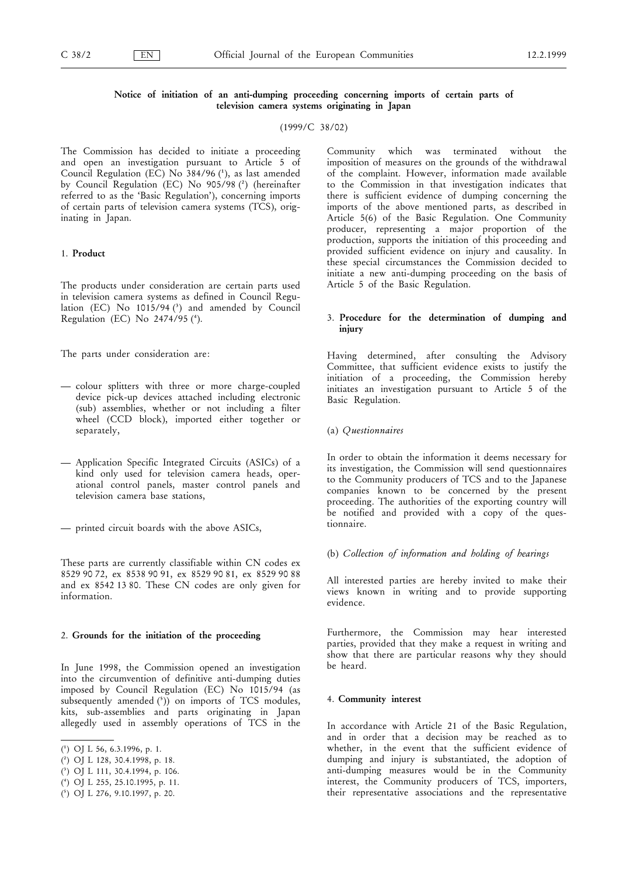# Notice of initiation of an anti-dumping proceeding concerning imports of certain parts of television camera systems originating in Japan

(1999/C 38/02)

The Commission has decided to initiate a proceeding and open an investigation pursuant to Article 5 of Council Regulation (EC) No  $384/96$  (1), as last amended by Council Regulation (EC) No 905/98 (2) (hereinafter referred to as the 'Basic Regulation'), concerning imports of certain parts of television camera systems (TCS), originating in Japan.

### 1. Product

The products under consideration are certain parts used in television camera systems as defined in Council Regulation (EC) No  $1015/94$  ( $^3$ ) and amended by Council Regulation (EC) No  $2474/95$  ( $4$ ).

The parts under consideration are:

- colour splitters with three or more charge-coupled device pick-up devices attached including electronic (sub) assemblies, whether or not including a filter wheel (CCD block), imported either together or separately,
- Application Specific Integrated Circuits (ASICs) of a kind only used for television camera heads, operational control panels, master control panels and television camera base stations,
- $-$  printed circuit boards with the above ASICs,

These parts are currently classifiable within CN codes ex 8529Ø90Ø72, ex 8538Ø90Ø91, ex 8529Ø90Ø81, ex 8529Ø90Ø88 and ex 8542 13 80. These CN codes are only given for information.

### 2. Grounds for the initiation of the proceeding

In June 1998, the Commission opened an investigation into the circumvention of definitive anti-dumping duties imposed by Council Regulation (EC) No 1015/94 (as subsequently amended $(5)$ ) on imports of TCS modules, kits, sub-assemblies and parts originating in Japan allegedly used in assembly operations of TCS in the

- $(3)$  OJ L 111, 30.4.1994, p. 106.
- $(4)$  OJ L 255, 25.10.1995, p. 11.

Community which was terminated without the imposition of measures on the grounds of the withdrawal of the complaint. However, information made available to the Commission in that investigation indicates that there is sufficient evidence of dumping concerning the imports of the above mentioned parts, as described in Article 5(6) of the Basic Regulation. One Community producer, representing a major proportion of the production, supports the initiation of this proceeding and provided sufficient evidence on injury and causality. In these special circumstances the Commission decided to initiate a new anti-dumping proceeding on the basis of Article 5 of the Basic Regulation.

# 3. Procedure for the determination of dumping and injury

Having determined, after consulting the Advisory Committee, that sufficient evidence exists to justify the initiation of a proceeding, the Commission hereby initiates an investigation pursuant to Article 5 of the Basic Regulation.

### (a) Questionnaires

In order to obtain the information it deems necessary for its investigation, the Commission will send questionnaires to the Community producers of TCS and to the Japanese companies known to be concerned by the present proceeding. The authorities of the exporting country will be notified and provided with a copy of the questionnaire.

# (b) Collection of information and holding of hearings

All interested parties are hereby invited to make their views known in writing and to provide supporting evidence.

Furthermore, the Commission may hear interested parties, provided that they make a request in writing and show that there are particular reasons why they should be heard.

# 4. Community interest

In accordance with Article 21 of the Basic Regulation, and in order that a decision may be reached as to whether, in the event that the sufficient evidence of dumping and injury is substantiated, the adoption of anti-dumping measures would be in the Community interest, the Community producers of TCS, importers, their representative associations and the representative

<sup>(1)</sup> OJ L 56, 6.3.1996, p. 1.

 $(2)$  OJ L 128, 30.4.1998, p. 18.

<sup>(5)</sup> OJ L 276, 9.10.1997, p. 20.